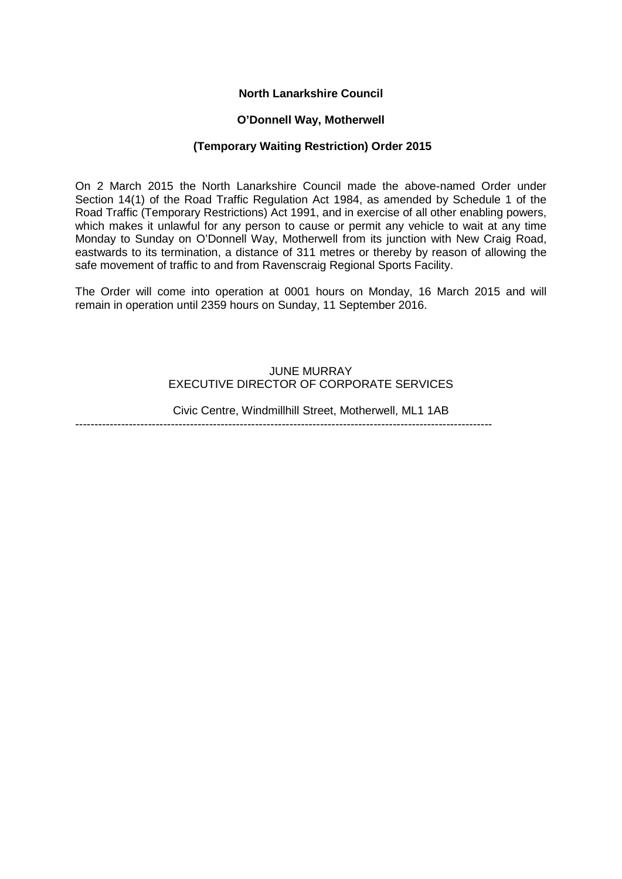# **North Lanarkshire Council**

### **O'Donnell Way, Motherwell**

### **(Temporary Waiting Restriction) Order 2015**

On 2 March 2015 the North Lanarkshire Council made the above-named Order under Section 14(1) of the Road Traffic Regulation Act 1984, as amended by Schedule 1 of the Road Traffic (Temporary Restrictions) Act 1991, and in exercise of all other enabling powers, which makes it unlawful for any person to cause or permit any vehicle to wait at any time Monday to Sunday on O'Donnell Way, Motherwell from its junction with New Craig Road, eastwards to its termination, a distance of 311 metres or thereby by reason of allowing the safe movement of traffic to and from Ravenscraig Regional Sports Facility.

The Order will come into operation at 0001 hours on Monday, 16 March 2015 and will remain in operation until 2359 hours on Sunday, 11 September 2016.

# JUNE MURRAY EXECUTIVE DIRECTOR OF CORPORATE SERVICES

Civic Centre, Windmillhill Street, Motherwell, ML1 1AB

-------------------------------------------------------------------------------------------------------------